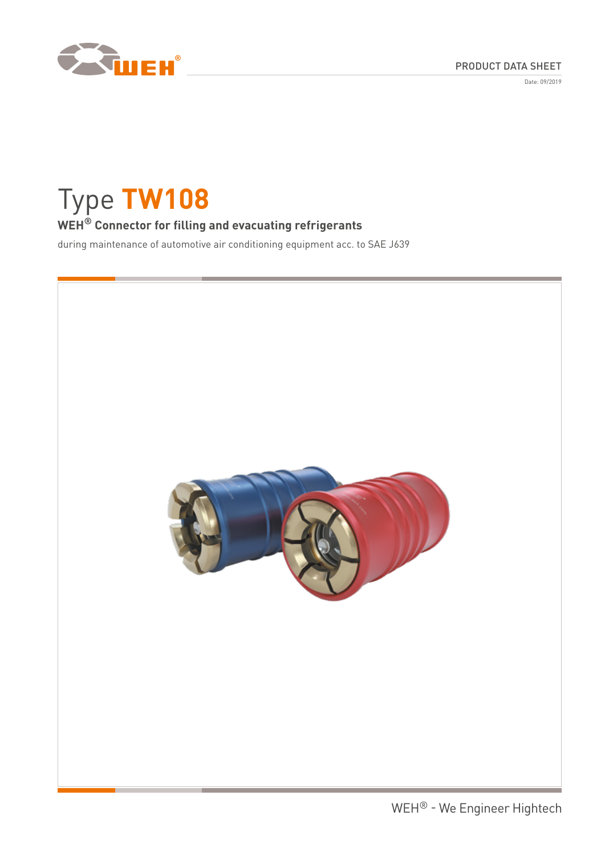

Date: 09/2019

# Type **TW108**

# **WEH® Connector for filling and evacuating refrigerants**

during maintenance of automotive air conditioning equipment acc. to SAE J639

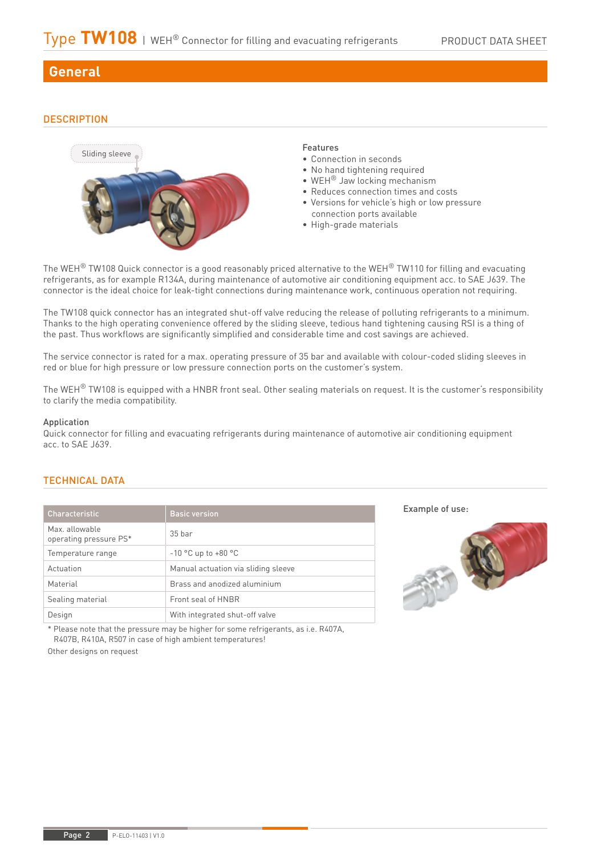## **General**

## **DESCRIPTION**



The WEH<sup>®</sup> TW108 Quick connector is a good reasonably priced alternative to the WEH<sup>®</sup> TW110 for filling and evacuating refrigerants, as for example R134A, during maintenance of automotive air conditioning equipment acc. to SAE J639. The connector is the ideal choice for leak-tight connections during maintenance work, continuous operation not requiring.

The TW108 quick connector has an integrated shut-off valve reducing the release of polluting refrigerants to a minimum. Thanks to the high operating convenience offered by the sliding sleeve, tedious hand tightening causing RSI is a thing of the past. Thus workflows are significantly simplified and considerable time and cost savings are achieved.

The service connector is rated for a max. operating pressure of 35 bar and available with colour-coded sliding sleeves in red or blue for high pressure or low pressure connection ports on the customer's system.

The WEH<sup>®</sup> TW108 is equipped with a HNBR front seal. Other sealing materials on request. It is the customer's responsibility to clarify the media compatibility.

## Application

Quick connector for filling and evacuating refrigerants during maintenance of automotive air conditioning equipment acc. to SAE J639.

## TECHNICAL DATA

| Characteristic                           | <b>Basic version</b>                |  |
|------------------------------------------|-------------------------------------|--|
| Max. allowable<br>operating pressure PS* | 35 <sub>bar</sub>                   |  |
| Temperature range                        | $-10$ °C up to $+80$ °C             |  |
| Actuation                                | Manual actuation via sliding sleeve |  |
| Material                                 | Brass and anodized aluminium        |  |
| Sealing material                         | Front seal of HNBR                  |  |
| Design                                   | With integrated shut-off valve      |  |

\* Please note that the pressure may be higher for some refrigerants, as i.e. R407A, R407B, R410A, R507 in case of high ambient temperatures!

Other designs on request

Example of use:

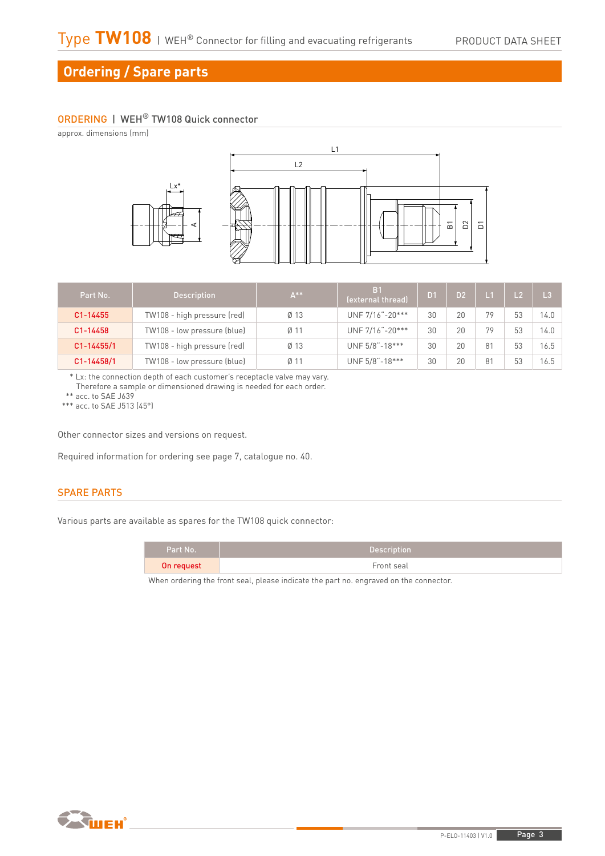## **Ordering / Spare parts**

## ORDERING | WEH® TW108 Quick connector

approx. dimensions (mm)



| Part No.       | <b>Description</b>          | $A***$          | B <sub>1</sub><br>(external thread) | D <sub>1</sub> | D <sub>2</sub> | $\blacksquare$ | L <sub>2</sub> | L <sub>3</sub> |
|----------------|-----------------------------|-----------------|-------------------------------------|----------------|----------------|----------------|----------------|----------------|
| C1-14455       | TW108 - high pressure (red) | $Ø$ 13          | UNF 7/16"-20***                     | 30             | 20             | 79             | 53             | 14.0           |
| C1-14458       | TW108 - low pressure (blue) | Ø <sub>11</sub> | UNF 7/16"-20***                     | 30             | 20             | 79             | 53             | 14.0           |
| $C1 - 14455/1$ | TW108 - high pressure (red) | $Ø$ 13          | UNF 5/8"-18***                      | 30             | 20             | 81             | 53             | 16.5           |
| $C1 - 14458/1$ | TW108 - low pressure (blue) | Ø <sub>11</sub> | UNF 5/8"-18***                      | 30             | 20             | 81             | 53             | 16.5           |

\* Lx: the connection depth of each customer's receptacle valve may vary. Therefore a sample or dimensioned drawing is needed for each order.

\*\* acc. to SAE J639

\*\*\* acc. to SAE J513 (45°)

Other connector sizes and versions on request.

Required information for ordering see page 7, catalogue no. 40.

## SPARE PARTS

Various parts are available as spares for the TW108 quick connector:

| Part No.   | <b>Description</b> |
|------------|--------------------|
| On request | Front seal         |
|            |                    |

When ordering the front seal, please indicate the part no. engraved on the connector.